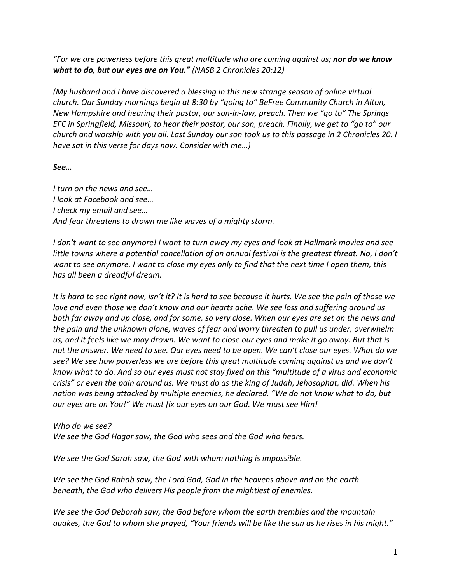*"For we are powerless before this great multitude who are coming against us; nor do we know what to do, but our eyes are on You." (NASB 2 Chronicles 20:12)*

*(My husband and I have discovered a blessing in this new strange season of online virtual church. Our Sunday mornings begin at 8:30 by "going to" BeFree Community Church in Alton, New Hampshire and hearing their pastor, our son-in-law, preach. Then we "go to" The Springs EFC in Springfield, Missouri, to hear their pastor, our son, preach. Finally, we get to "go to" our church and worship with you all. Last Sunday our son took us to this passage in 2 Chronicles 20. I have sat in this verse for days now. Consider with me…)*

## *See…*

*I turn on the news and see… I look at Facebook and see… I check my email and see… And fear threatens to drown me like waves of a mighty storm.* 

*I don't want to see anymore! I want to turn away my eyes and look at Hallmark movies and see little towns where a potential cancellation of an annual festival is the greatest threat. No, I don't want to see anymore. I want to close my eyes only to find that the next time I open them, this has all been a dreadful dream.*

*It is hard to see right now, isn't it? It is hard to see because it hurts. We see the pain of those we love and even those we don't know and our hearts ache. We see loss and suffering around us both far away and up close, and for some, so very close. When our eyes are set on the news and the pain and the unknown alone, waves of fear and worry threaten to pull us under, overwhelm us, and it feels like we may drown. We want to close our eyes and make it go away. But that is not the answer. We need to see. Our eyes need to be open. We can't close our eyes. What do we see? We see how powerless we are before this great multitude coming against us and we don't know what to do. And so our eyes must not stay fixed on this "multitude of a virus and economic crisis" or even the pain around us. We must do as the king of Judah, Jehosaphat, did. When his nation was being attacked by multiple enemies, he declared. "We do not know what to do, but our eyes are on You!" We must fix our eyes on our God. We must see Him!* 

*Who do we see? We see the God Hagar saw, the God who sees and the God who hears.*

*We see the God Sarah saw, the God with whom nothing is impossible.*

*We see the God Rahab saw, the Lord God, God in the heavens above and on the earth beneath, the God who delivers His people from the mightiest of enemies.*

*We see the God Deborah saw, the God before whom the earth trembles and the mountain quakes, the God to whom she prayed, "Your friends will be like the sun as he rises in his might."*